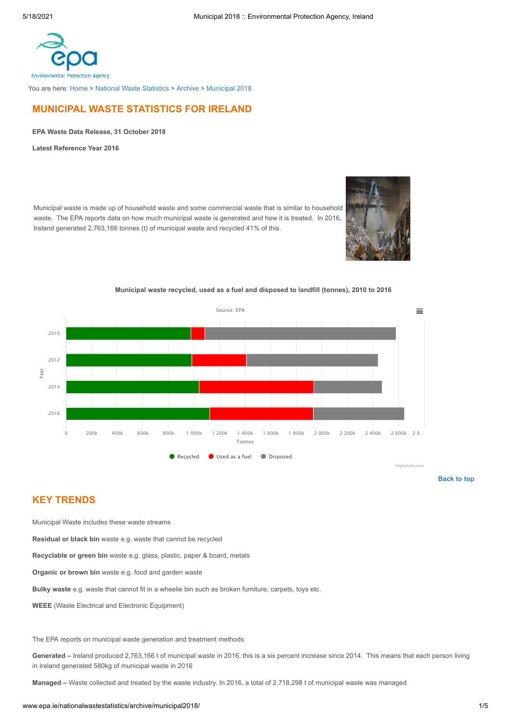<span id="page-0-0"></span>

You are here: [Home](http://www.epa.ie/) > [National Waste Statistics](http://www.epa.ie/nationalwastestatistics/) > [Archive](http://www.epa.ie/nationalwastestatistics/archive/) > [Municipal 2018](http://www.epa.ie/nationalwastestatistics/archive/municipal2018/)

# **MUNICIPAL WASTE STATISTICS FOR IRELAND**

**EPA Waste Data Release, 31 October 2018**

**Latest Reference Year 2016**

Municipal waste is made up of household waste and some commercial waste that is similar to household waste. The EPA reports data on how much municipal waste is generated and how it is treated. In 2016, Ireland generated 2,763,166 tonnes (t) of municipal waste and recycled 41% of this.



**Municipal waste recycled, used as a fuel and disposed to landfill (tonnes), 2010 to 2016**



**[Back to top](#page-0-0)**

# **KEY TRENDS**

Municipal Waste includes these waste streams

**Residual or black bin** waste e.g. waste that cannot be recycled

**Recyclable or green bin** waste e.g. glass, plastic, paper & board, metals

**Organic or brown bin** waste e.g. food and garden waste

**Bulky waste** e.g. waste that cannot fit in a wheelie bin such as broken furniture, carpets, toys etc.

**WEEE** (Waste Electrical and Electronic Equipment)

The EPA reports on municipal waste generation and treatment methods

**Generated –** Ireland produced 2,763,166 t of municipal waste in 2016, this is a six percent increase since 2014. This means that each person living in Ireland generated 580kg of municipal waste in 2016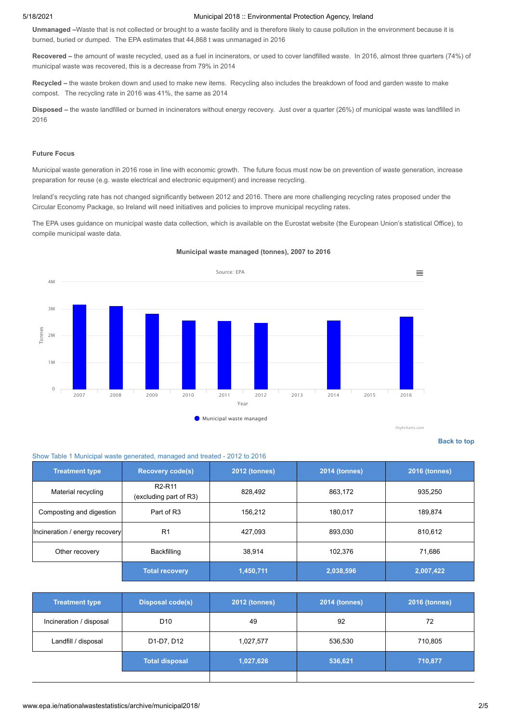**Unmanaged –**Waste that is not collected or brought to a waste facility and is therefore likely to cause pollution in the environment because it is burned, buried or dumped. The EPA estimates that 44,868 t was unmanaged in 2016

**Recovered –** the amount of waste recycled, used as a fuel in incinerators, or used to cover landfilled waste. In 2016, almost three quarters (74%) of municipal waste was recovered, this is a decrease from 79% in 2014

**Recycled –** the waste broken down and used to make new items. Recycling also includes the breakdown of food and garden waste to make compost. The recycling rate in 2016 was 41%, the same as 2014

**Disposed –** the waste landfilled or burned in incinerators without energy recovery. Just over a quarter (26%) of municipal waste was landfilled in 2016

#### **Future Focus**

Municipal waste generation in 2016 rose in line with economic growth. The future focus must now be on prevention of waste generation, increase preparation for reuse (e.g. waste electrical and electronic equipment) and increase recycling.

Ireland's recycling rate has not changed significantly between 2012 and 2016. There are more challenging recycling rates proposed under the Circular Economy Package, so Ireland will need initiatives and policies to improve municipal recycling rates.

The EPA uses guidance on municipal waste data collection, which is available on the Eurostat website (the European Union's statistical Office), to compile municipal waste data.



## **Municipal waste managed (tonnes), 2007 to 2016**

**[Back to top](#page-0-0)**

### [Show Table 1 Municipal waste generated, managed and treated - 2012 to 2016](#page-1-0)

<span id="page-1-0"></span>

| <b>Treatment type</b>          | <b>Recovery code(s)</b>                                   | <b>2012 (tonnes)</b> | <b>2014 (tonnes)</b> | <b>2016 (tonnes)</b> |  |
|--------------------------------|-----------------------------------------------------------|----------------------|----------------------|----------------------|--|
| Material recycling             | R <sub>2</sub> -R <sub>11</sub><br>(excluding part of R3) | 828,492              | 863,172              |                      |  |
| Composting and digestion       | Part of R3                                                | 156,212              | 180,017              | 189.874              |  |
| Incineration / energy recovery | R <sub>1</sub>                                            | 427.093<br>893,030   |                      | 810.612              |  |
| Other recovery                 | Backfilling                                               | 38,914<br>102,376    |                      | 71,686               |  |
|                                | <b>Total recovery</b>                                     | 1,450,711            | 2,038,596            | 2,007,422            |  |

| <b>Treatment type</b>   | <b>Disposal code(s)</b> | <b>2012 (tonnes)</b> | <b>2014 (tonnes)</b> | <b>2016 (tonnes)</b> |  |
|-------------------------|-------------------------|----------------------|----------------------|----------------------|--|
| Incineration / disposal | D <sub>10</sub>         | 49                   | 92                   |                      |  |
| Landfill / disposal     | D1-D7, D12              | 1,027,577            |                      | 710,805              |  |
|                         | <b>Total disposal</b>   | 1,027,626            | 536,621              | 710,877              |  |
|                         |                         |                      |                      |                      |  |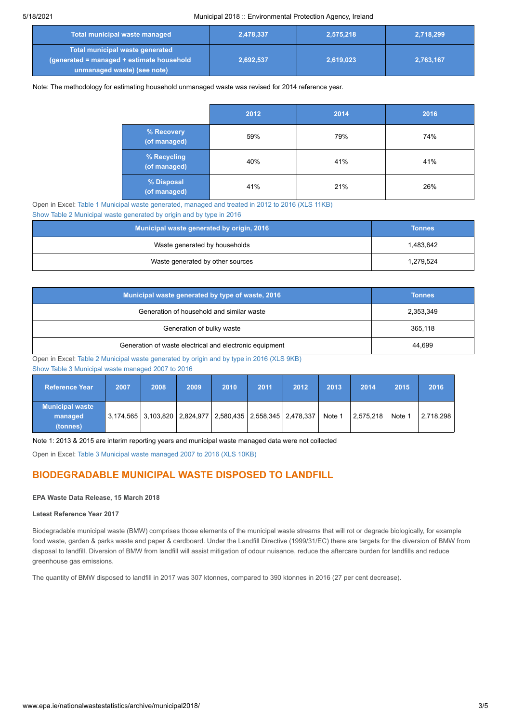| <b>Total municipal waste managed</b>                                           | 2,478,337 | 2,575,218 | 2,718,299 |
|--------------------------------------------------------------------------------|-----------|-----------|-----------|
| Total municipal waste generated<br>(generated = managed + estimate household \ | 2,692,537 | 2,619,023 | 2,763,167 |
| unmanaged waste) (see note)                                                    |           |           |           |

Note: The methodology for estimating household unmanaged waste was revised for 2014 reference year.

|                             | 2012 | 2014 | 2016 |
|-----------------------------|------|------|------|
| % Recovery<br>(of managed)  | 59%  | 79%  | 74%  |
| % Recycling<br>(of managed) | 40%  | 41%  | 41%  |
| % Disposal<br>(of managed)  | 41%  | 21%  | 26%  |

Open in Excel: [Table 1 Municipal waste generated, managed and treated in 2012 to 2016 \(XLS 11KB\)](http://www.epa.ie/media/EPA_Municipal_2018Oct_Ref2016_Table1_treatment_2012_2014_2016.xlsx)

[Show Table 2 Municipal waste generated by origin and by type in 2016](#page-2-0)

<span id="page-2-0"></span>

| Municipal waste generated by origin, 2016 | <b>Tonnes</b> |
|-------------------------------------------|---------------|
| Waste generated by households             | 1,483,642     |
| Waste generated by other sources          | 1,279,524     |

| Municipal waste generated by type of waste, 2016        | <b>Tonnes</b> |
|---------------------------------------------------------|---------------|
| Generation of household and similar waste               | 2,353,349     |
| Generation of bulky waste                               | 365,118       |
| Generation of waste electrical and electronic equipment | 44.699        |

Open in Excel: [Table 2 Municipal waste generated by origin and by type in 2016 \(XLS 9KB\)](http://www.epa.ie/media/EPA_Municipal_2018Oct_Ref2016_Table2_origin_type.xlsx)

[Show Table 3 Municipal waste managed 2007 to 2016](#page-2-1)

<span id="page-2-1"></span>

| <b>Reference Year</b>                         | 2007 | 2008 | 2009 | 2010 | 2011                                                                  | 2012 | 2013   | 2014      | 2015   | 2016      |
|-----------------------------------------------|------|------|------|------|-----------------------------------------------------------------------|------|--------|-----------|--------|-----------|
| <b>Municipal waste</b><br>managed<br>(tonnes) |      |      |      |      | 3,174,565   3,103,820   2,824,977   2,580,435   2,558,345   2,478,337 |      | Note 1 | 2,575,218 | Note 1 | 2,718,298 |

Note 1: 2013 & 2015 are interim reporting years and municipal waste managed data were not collected

Open in Excel: [Table 3 Municipal waste managed 2007 to 2016 \(XLS 10KB\)](http://www.epa.ie/media/EPA_Municipal_2018Oct_Ref2016_Table3_managed_2007-2016.xlsx)

# **BIODEGRADABLE MUNICIPAL WASTE DISPOSED TO LANDFILL**

## **EPA Waste Data Release, 15 March 2018**

## **Latest Reference Year 2017**

Biodegradable municipal waste (BMW) comprises those elements of the municipal waste streams that will rot or degrade biologically, for example food waste, garden & parks waste and paper & cardboard. Under the Landfill Directive (1999/31/EC) there are targets for the diversion of BMW from disposal to landfill. Diversion of BMW from landfill will assist mitigation of odour nuisance, reduce the aftercare burden for landfills and reduce greenhouse gas emissions.

The quantity of BMW disposed to landfill in 2017 was 307 ktonnes, compared to 390 ktonnes in 2016 (27 per cent decrease).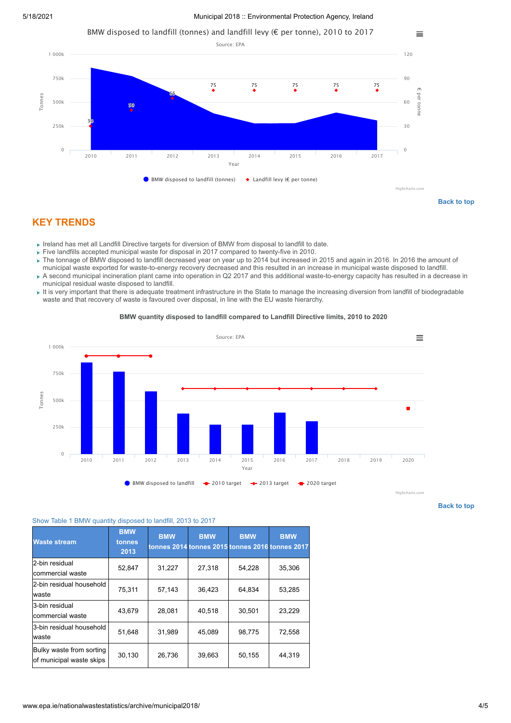5/18/2021 Municipal 2018 :: Environmental Protection Agency, Ireland



# **KEY TRENDS**

- Ireland has met all Landfill Directive targets for diversion of BMW from disposal to landfill to date.
- Five landfills accepted municipal waste for disposal in 2017 compared to twenty-five in 2010.
- ▶ The tonnage of BMW disposed to landfill decreased year on year up to 2014 but increased in 2015 and again in 2016. In 2016 the amount of
- municipal waste exported for waste-to-energy recovery decreased and this resulted in an increase in municipal waste disposed to landfill.
- A second municipal incineration plant came into operation in Q2 2017 and this additional waste-to-energy capacity has resulted in a decrease in municipal residual waste disposed to landfill.
- It is very important that there is adequate treatment infrastructure in the State to manage the increasing diversion from landfill of biodegradable waste and that recovery of waste is favoured over disposal, in line with the EU waste hierarchy.





#### **[Back to top](#page-0-0)**

### [Show Table 1 BMW quantity disposed to landfill, 2013 to 2017](#page-3-0)

<span id="page-3-0"></span>

| <b>Waste stream</b>                                  | <b>BMW</b><br>tonnes<br>2013 | <b>BMW</b><br>tonnes 2014 tonnes 2015 tonnes 2016 tonnes 2017 | <b>BMW</b> | <b>BMW</b> | <b>BMW</b> |
|------------------------------------------------------|------------------------------|---------------------------------------------------------------|------------|------------|------------|
| 2-bin residual<br>commercial waste                   | 52,847                       | 31,227                                                        | 27,318     | 54,228     | 35,306     |
| 2-bin residual household<br>waste                    | 75.311                       | 57,143                                                        | 36,423     | 64.834     | 53.285     |
| 3-bin residual<br>commercial waste                   | 43.679                       | 28.081                                                        | 40.518     | 30.501     | 23.229     |
| 3-bin residual household<br>waste                    | 51.648                       | 31,989                                                        | 45.089     | 98.775     | 72,558     |
| Bulky waste from sorting<br>of municipal waste skips | 30,130                       | 26,736                                                        | 39,663     | 50,155     | 44.319     |